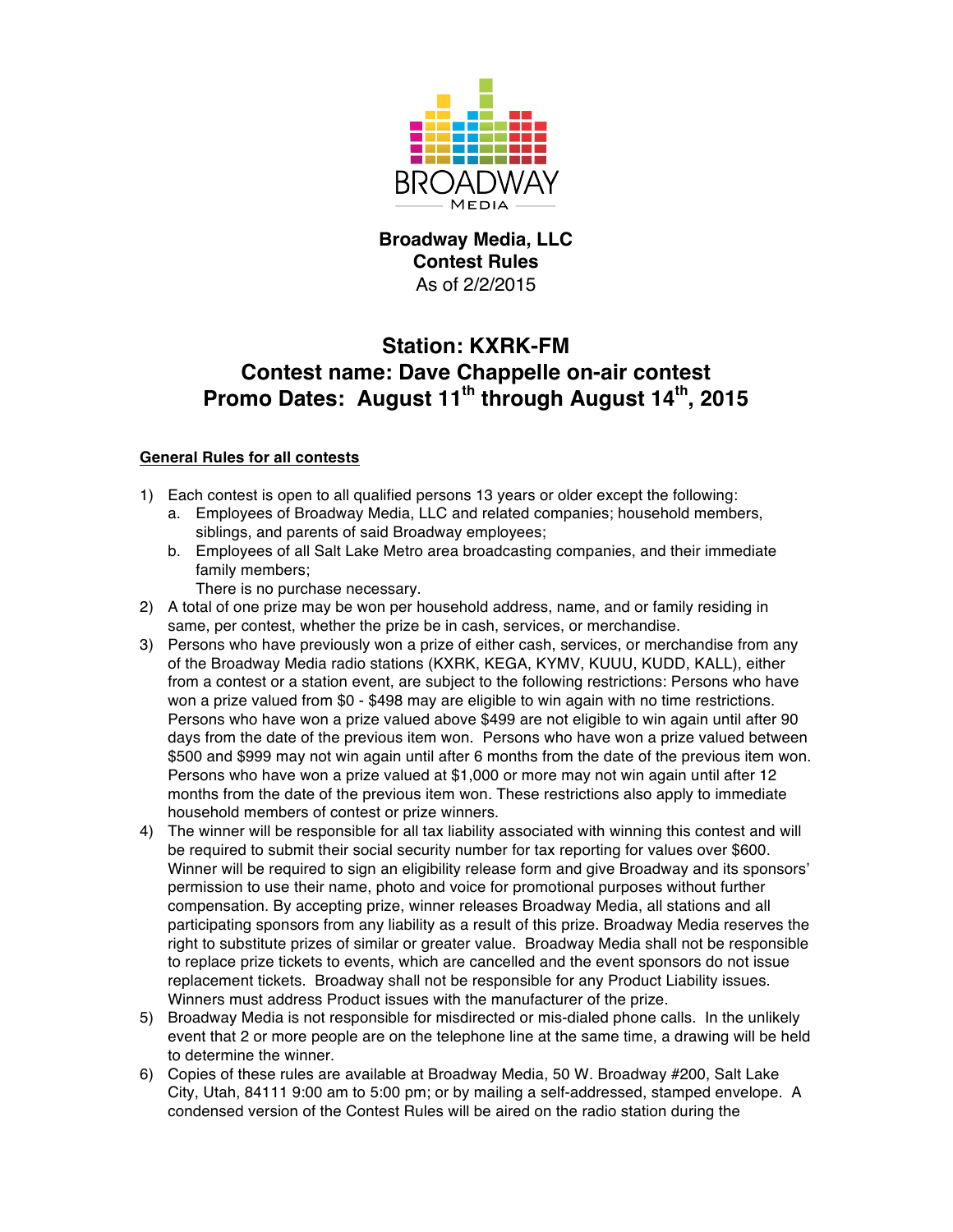

**Broadway Media, LLC Contest Rules** As of 2/2/2015

## **Station: KXRK-FM Contest name: Dave Chappelle on-air contest Promo Dates: August 11th through August 14th, 2015**

## **General Rules for all contests**

- 1) Each contest is open to all qualified persons 13 years or older except the following:
	- a. Employees of Broadway Media, LLC and related companies; household members, siblings, and parents of said Broadway employees;
	- b. Employees of all Salt Lake Metro area broadcasting companies, and their immediate family members;

There is no purchase necessary.

- 2) A total of one prize may be won per household address, name, and or family residing in same, per contest, whether the prize be in cash, services, or merchandise.
- 3) Persons who have previously won a prize of either cash, services, or merchandise from any of the Broadway Media radio stations (KXRK, KEGA, KYMV, KUUU, KUDD, KALL), either from a contest or a station event, are subject to the following restrictions: Persons who have won a prize valued from \$0 - \$498 may are eligible to win again with no time restrictions. Persons who have won a prize valued above \$499 are not eligible to win again until after 90 days from the date of the previous item won. Persons who have won a prize valued between \$500 and \$999 may not win again until after 6 months from the date of the previous item won. Persons who have won a prize valued at \$1,000 or more may not win again until after 12 months from the date of the previous item won. These restrictions also apply to immediate household members of contest or prize winners.
- 4) The winner will be responsible for all tax liability associated with winning this contest and will be required to submit their social security number for tax reporting for values over \$600. Winner will be required to sign an eligibility release form and give Broadway and its sponsors' permission to use their name, photo and voice for promotional purposes without further compensation. By accepting prize, winner releases Broadway Media, all stations and all participating sponsors from any liability as a result of this prize. Broadway Media reserves the right to substitute prizes of similar or greater value. Broadway Media shall not be responsible to replace prize tickets to events, which are cancelled and the event sponsors do not issue replacement tickets. Broadway shall not be responsible for any Product Liability issues. Winners must address Product issues with the manufacturer of the prize.
- 5) Broadway Media is not responsible for misdirected or mis-dialed phone calls. In the unlikely event that 2 or more people are on the telephone line at the same time, a drawing will be held to determine the winner.
- 6) Copies of these rules are available at Broadway Media, 50 W. Broadway #200, Salt Lake City, Utah, 84111 9:00 am to 5:00 pm; or by mailing a self-addressed, stamped envelope. A condensed version of the Contest Rules will be aired on the radio station during the